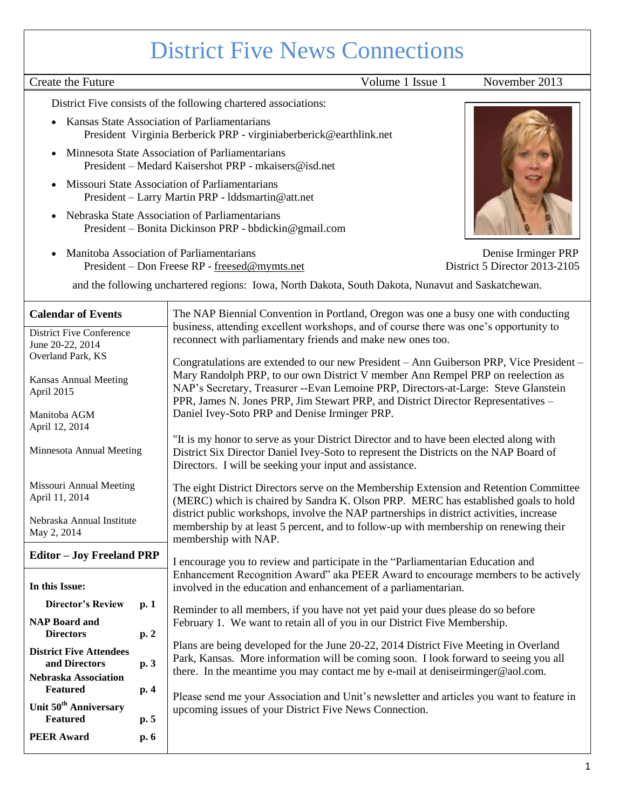# District Five News Connections

# Create the Future Volume 1 Issue 1 November 2013

District Five consists of the following chartered associations:

- Kansas State Association of Parliamentarians President Virginia Berberick PRP - virginiaberberick@earthlink.net
- Minnesota State Association of Parliamentarians President – Medard Kaisershot PRP - mkaisers@isd.net
- Missouri State Association of Parliamentarians President – Larry Martin PRP - lddsmartin@att.net
- Nebraska State Association of Parliamentarians President – Bonita Dickinson PRP - bbdickin@gmail.com
- Manitoba Association of Parliamentarians Denise Irminger PRP President – Don Freese RP - [freesed@mymts.net](mailto:freesed@mymts.net) District 5 Director 2013-2105

and the following unchartered regions: Iowa, North Dakota, South Dakota, Nunavut and Saskatchewan.

| <b>Calendar of Events</b>                            |      | The NAP Biennial Convention in Portland, Oregon was one a busy one with conducting<br>business, attending excellent workshops, and of course there was one's opportunity to                                                                                    |  |
|------------------------------------------------------|------|----------------------------------------------------------------------------------------------------------------------------------------------------------------------------------------------------------------------------------------------------------------|--|
| <b>District Five Conference</b><br>June 20-22, 2014  |      | reconnect with parliamentary friends and make new ones too.                                                                                                                                                                                                    |  |
| Overland Park, KS                                    |      | Congratulations are extended to our new President - Ann Guiberson PRP, Vice President -                                                                                                                                                                        |  |
| <b>Kansas Annual Meeting</b><br>April 2015           |      | Mary Randolph PRP, to our own District V member Ann Rempel PRP on reelection as<br>NAP's Secretary, Treasurer --Evan Lemoine PRP, Directors-at-Large: Steve Glanstein<br>PPR, James N. Jones PRP, Jim Stewart PRP, and District Director Representatives -     |  |
| Manitoba AGM<br>April 12, 2014                       |      | Daniel Ivey-Soto PRP and Denise Irminger PRP.                                                                                                                                                                                                                  |  |
| Minnesota Annual Meeting                             |      | "It is my honor to serve as your District Director and to have been elected along with<br>District Six Director Daniel Ivey-Soto to represent the Districts on the NAP Board of<br>Directors. I will be seeking your input and assistance.                     |  |
| Missouri Annual Meeting<br>April 11, 2014            |      | The eight District Directors serve on the Membership Extension and Retention Committee<br>(MERC) which is chaired by Sandra K. Olson PRP. MERC has established goals to hold                                                                                   |  |
| Nebraska Annual Institute<br>May 2, 2014             |      | district public workshops, involve the NAP partnerships in district activities, increase<br>membership by at least 5 percent, and to follow-up with membership on renewing their<br>membership with NAP.                                                       |  |
| <b>Editor - Joy Freeland PRP</b>                     |      | I encourage you to review and participate in the "Parliamentarian Education and                                                                                                                                                                                |  |
| In this Issue:                                       |      | Enhancement Recognition Award" aka PEER Award to encourage members to be actively<br>involved in the education and enhancement of a parliamentarian.                                                                                                           |  |
| <b>Director's Review</b>                             | p.1  | Reminder to all members, if you have not yet paid your dues please do so before                                                                                                                                                                                |  |
| <b>NAP Board and</b><br><b>Directors</b>             | p.2  | February 1. We want to retain all of you in our District Five Membership.                                                                                                                                                                                      |  |
| <b>District Five Attendees</b><br>and Directors      | p. 3 | Plans are being developed for the June 20-22, 2014 District Five Meeting in Overland<br>Park, Kansas. More information will be coming soon. I look forward to seeing you all<br>there. In the meantime you may contact me by e-mail at deniseirminger@aol.com. |  |
| Nebraska Association<br>Featured                     | p. 4 |                                                                                                                                                                                                                                                                |  |
| Unit 50 <sup>th</sup> Anniversary<br><b>Featured</b> | p.5  | Please send me your Association and Unit's newsletter and articles you want to feature in<br>upcoming issues of your District Five News Connection.                                                                                                            |  |
| <b>PEER Award</b>                                    | p. 6 |                                                                                                                                                                                                                                                                |  |

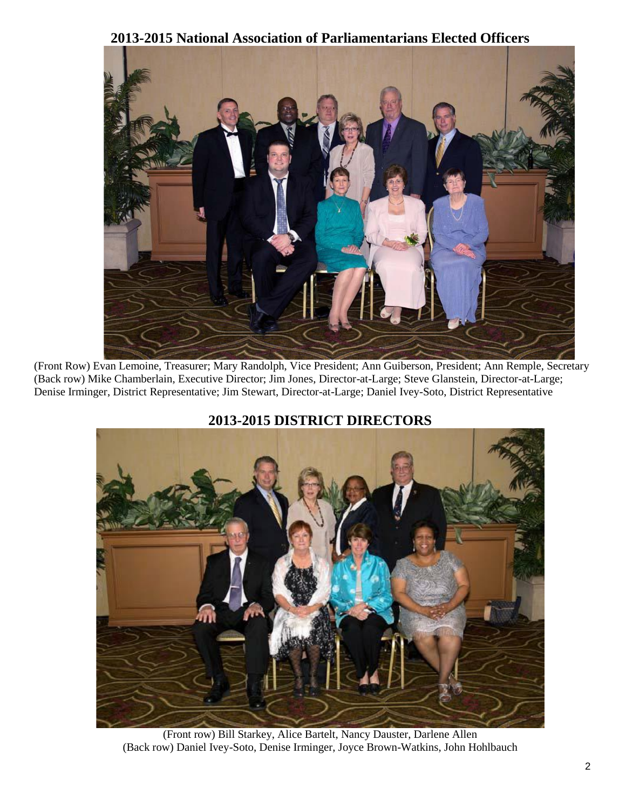## **2013-2015 National Association of Parliamentarians Elected Officers**



(Front Row) Evan Lemoine, Treasurer; Mary Randolph, Vice President; Ann Guiberson, President; Ann Remple, Secretary (Back row) Mike Chamberlain, Executive Director; Jim Jones, Director-at-Large; Steve Glanstein, Director-at-Large; Denise Irminger, District Representative; Jim Stewart, Director-at-Large; Daniel Ivey-Soto, District Representative





(Front row) Bill Starkey, Alice Bartelt, Nancy Dauster, Darlene Allen (Back row) Daniel Ivey-Soto, Denise Irminger, Joyce Brown-Watkins, John Hohlbauch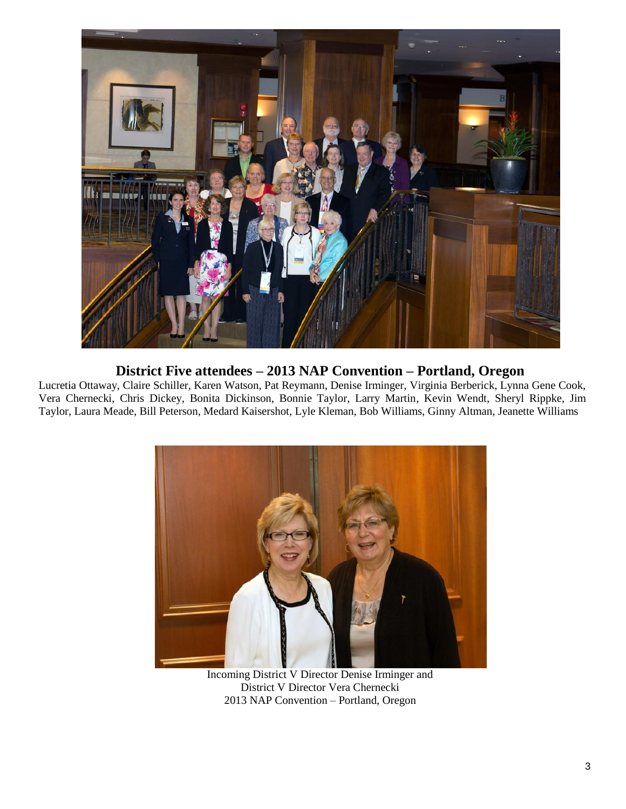

## **District Five attendees – 2013 NAP Convention – Portland, Oregon**

Lucretia Ottaway, Claire Schiller, Karen Watson, Pat Reymann, Denise Irminger, Virginia Berberick, Lynna Gene Cook, Vera Chernecki, Chris Dickey, Bonita Dickinson, Bonnie Taylor, Larry Martin, Kevin Wendt, Sheryl Rippke, Jim Taylor, Laura Meade, Bill Peterson, Medard Kaisershot, Lyle Kleman, Bob Williams, Ginny Altman, Jeanette Williams



Incoming District V Director Denise Irminger and District V Director Vera Chernecki 2013 NAP Convention – Portland, Oregon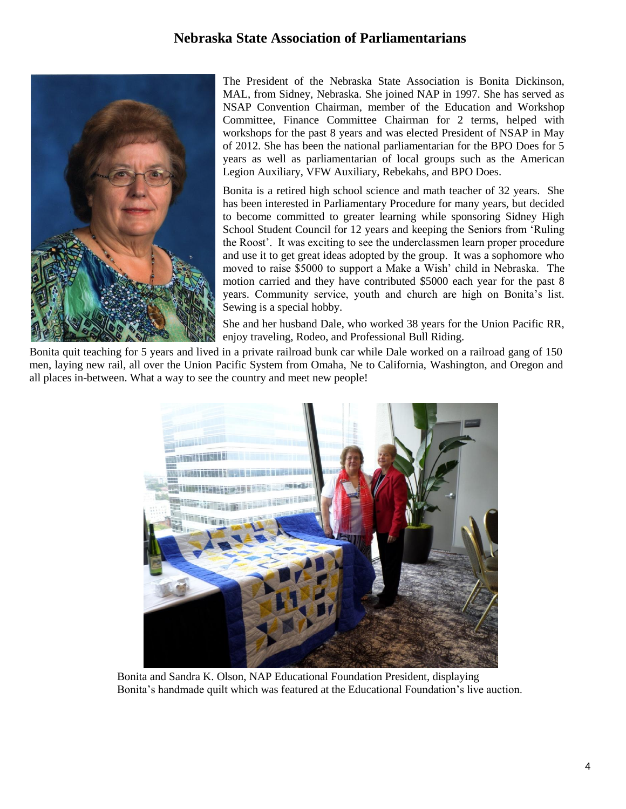## **Nebraska State Association of Parliamentarians**



The President of the Nebraska State Association is Bonita Dickinson, MAL, from Sidney, Nebraska. She joined NAP in 1997. She has served as NSAP Convention Chairman, member of the Education and Workshop Committee, Finance Committee Chairman for 2 terms, helped with workshops for the past 8 years and was elected President of NSAP in May of 2012. She has been the national parliamentarian for the BPO Does for 5 years as well as parliamentarian of local groups such as the American Legion Auxiliary, VFW Auxiliary, Rebekahs, and BPO Does.

Bonita is a retired high school science and math teacher of 32 years. She has been interested in Parliamentary Procedure for many years, but decided to become committed to greater learning while sponsoring Sidney High School Student Council for 12 years and keeping the Seniors from 'Ruling the Roost'. It was exciting to see the underclassmen learn proper procedure and use it to get great ideas adopted by the group. It was a sophomore who moved to raise \$5000 to support a Make a Wish' child in Nebraska. The motion carried and they have contributed \$5000 each year for the past 8 years. Community service, youth and church are high on Bonita's list. Sewing is a special hobby.

She and her husband Dale, who worked 38 years for the Union Pacific RR, enjoy traveling, Rodeo, and Professional Bull Riding.

Bonita quit teaching for 5 years and lived in a private railroad bunk car while Dale worked on a railroad gang of 150 men, laying new rail, all over the Union Pacific System from Omaha, Ne to California, Washington, and Oregon and all places in-between. What a way to see the country and meet new people!



 Bonita and Sandra K. Olson, NAP Educational Foundation President, displaying Bonita's handmade quilt which was featured at the Educational Foundation's live auction.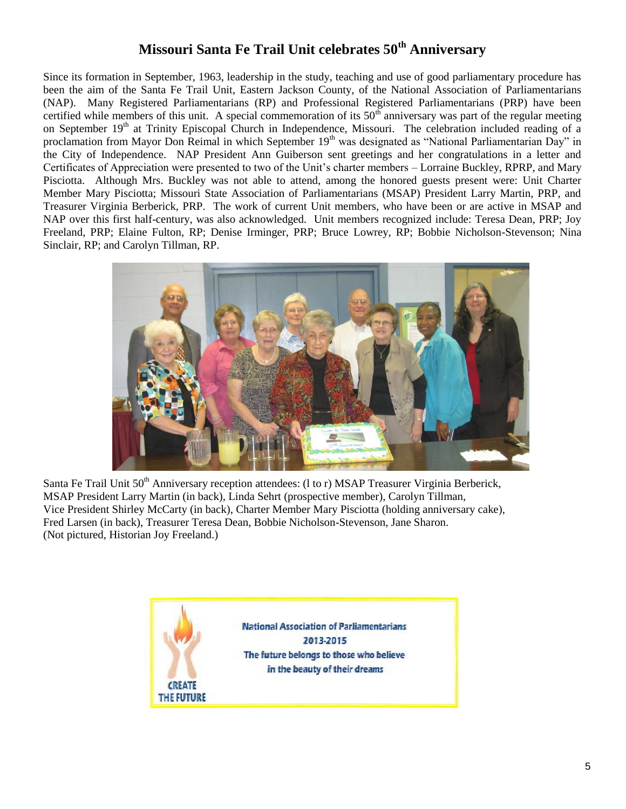# **Missouri Santa Fe Trail Unit celebrates 50th Anniversary**

Since its formation in September, 1963, leadership in the study, teaching and use of good parliamentary procedure has been the aim of the Santa Fe Trail Unit, Eastern Jackson County, of the National Association of Parliamentarians (NAP). Many Registered Parliamentarians (RP) and Professional Registered Parliamentarians (PRP) have been certified while members of this unit. A special commemoration of its  $50<sup>th</sup>$  anniversary was part of the regular meeting on September 19<sup>th</sup> at Trinity Episcopal Church in Independence, Missouri. The celebration included reading of a proclamation from Mayor Don Reimal in which September 19<sup>th</sup> was designated as "National Parliamentarian Day" in the City of Independence. NAP President Ann Guiberson sent greetings and her congratulations in a letter and Certificates of Appreciation were presented to two of the Unit's charter members – Lorraine Buckley, RPRP, and Mary Pisciotta. Although Mrs. Buckley was not able to attend, among the honored guests present were: Unit Charter Member Mary Pisciotta; Missouri State Association of Parliamentarians (MSAP) President Larry Martin, PRP, and Treasurer Virginia Berberick, PRP. The work of current Unit members, who have been or are active in MSAP and NAP over this first half-century, was also acknowledged. Unit members recognized include: Teresa Dean, PRP; Joy Freeland, PRP; Elaine Fulton, RP; Denise Irminger, PRP; Bruce Lowrey, RP; Bobbie Nicholson-Stevenson; Nina Sinclair, RP; and Carolyn Tillman, RP.



Santa Fe Trail Unit 50<sup>th</sup> Anniversary reception attendees: (1 to r) MSAP Treasurer Virginia Berberick, MSAP President Larry Martin (in back), Linda Sehrt (prospective member), Carolyn Tillman, Vice President Shirley McCarty (in back), Charter Member Mary Pisciotta (holding anniversary cake), Fred Larsen (in back), Treasurer Teresa Dean, Bobbie Nicholson-Stevenson, Jane Sharon. (Not pictured, Historian Joy Freeland.)